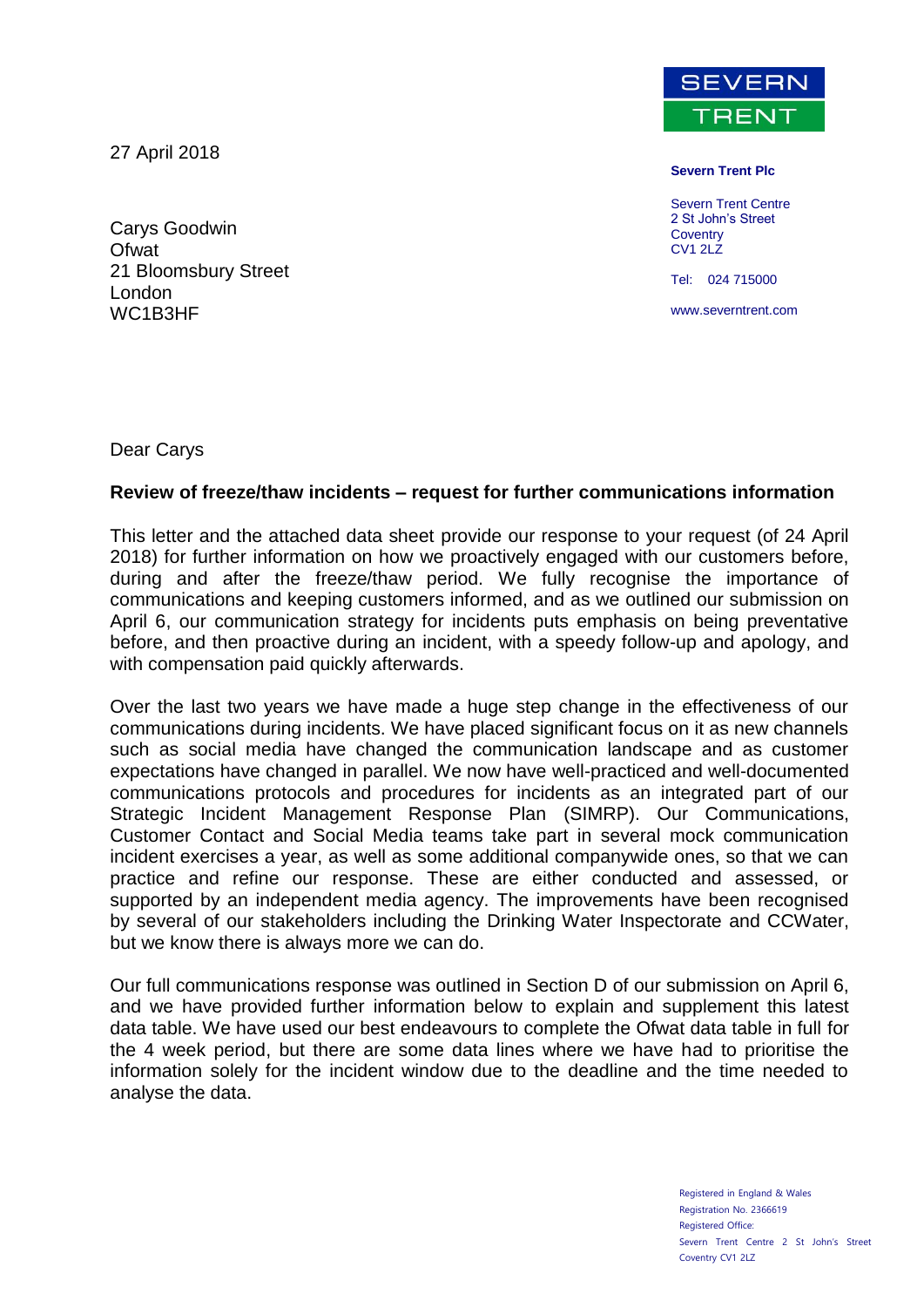27 April 2018

Carys Goodwin **Ofwat** 21 Bloomsbury Street London WC1B3HF



**Severn Trent Plc**

Severn Trent Centre 2 St John's Street **Coventry** CV1 2LZ

Tel: 024 715000

www.severntrent.com

Dear Carys

#### **Review of freeze/thaw incidents – request for further communications information**

This letter and the attached data sheet provide our response to your request (of 24 April 2018) for further information on how we proactively engaged with our customers before, during and after the freeze/thaw period. We fully recognise the importance of communications and keeping customers informed, and as we outlined our submission on April 6, our communication strategy for incidents puts emphasis on being preventative before, and then proactive during an incident, with a speedy follow-up and apology, and with compensation paid quickly afterwards.

Over the last two years we have made a huge step change in the effectiveness of our communications during incidents. We have placed significant focus on it as new channels such as social media have changed the communication landscape and as customer expectations have changed in parallel. We now have well-practiced and well-documented communications protocols and procedures for incidents as an integrated part of our Strategic Incident Management Response Plan (SIMRP). Our Communications, Customer Contact and Social Media teams take part in several mock communication incident exercises a year, as well as some additional companywide ones, so that we can practice and refine our response. These are either conducted and assessed, or supported by an independent media agency. The improvements have been recognised by several of our stakeholders including the Drinking Water Inspectorate and CCWater, but we know there is always more we can do.

Our full communications response was outlined in Section D of our submission on April 6, and we have provided further information below to explain and supplement this latest data table. We have used our best endeavours to complete the Ofwat data table in full for the 4 week period, but there are some data lines where we have had to prioritise the information solely for the incident window due to the deadline and the time needed to analyse the data.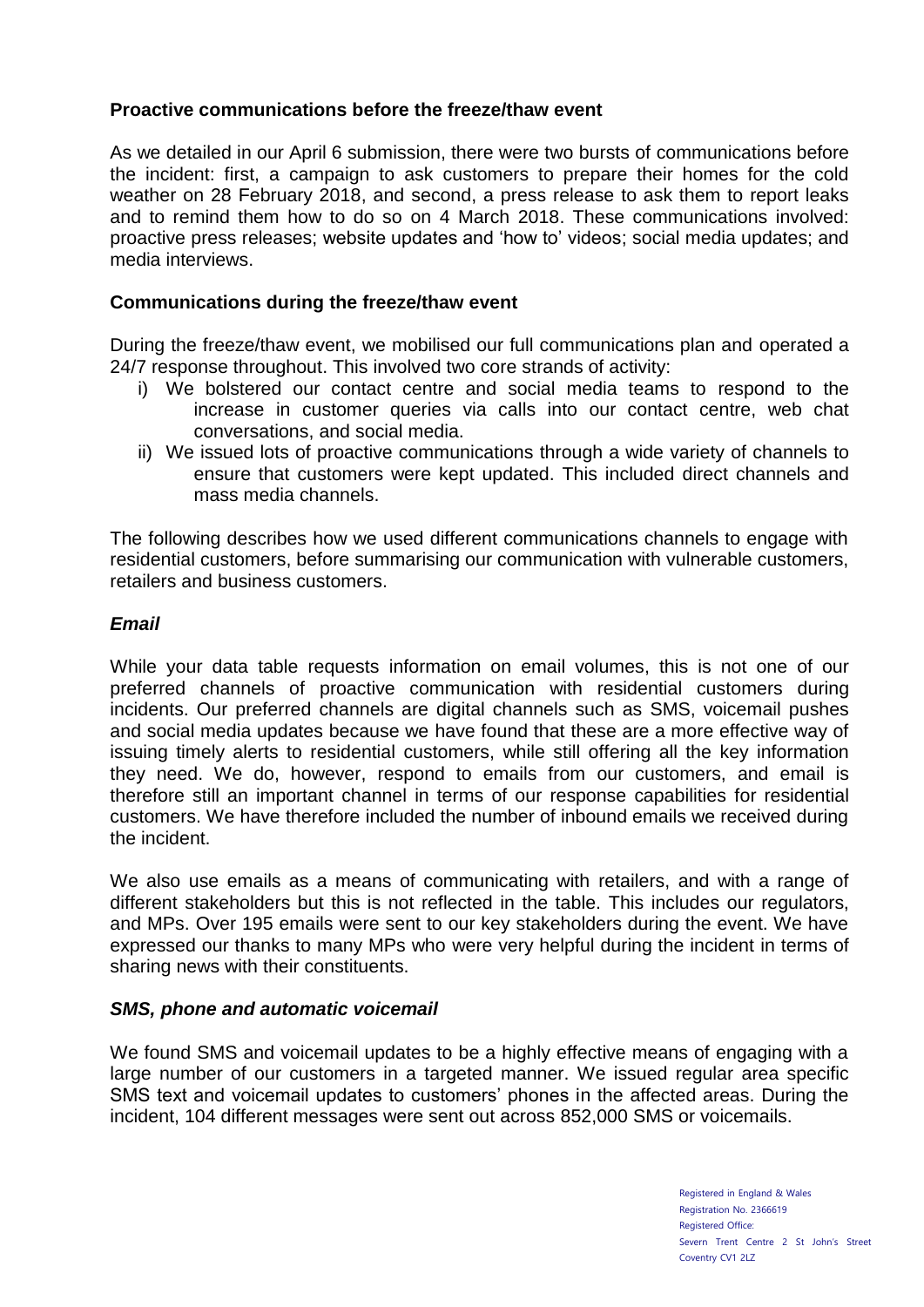# **Proactive communications before the freeze/thaw event**

As we detailed in our April 6 submission, there were two bursts of communications before the incident: first, a campaign to ask customers to prepare their homes for the cold weather on 28 February 2018, and second, a press release to ask them to report leaks and to remind them how to do so on 4 March 2018. These communications involved: proactive press releases; website updates and 'how to' videos; social media updates; and media interviews.

## **Communications during the freeze/thaw event**

During the freeze/thaw event, we mobilised our full communications plan and operated a 24/7 response throughout. This involved two core strands of activity:

- i) We bolstered our contact centre and social media teams to respond to the increase in customer queries via calls into our contact centre, web chat conversations, and social media.
- ii) We issued lots of proactive communications through a wide variety of channels to ensure that customers were kept updated. This included direct channels and mass media channels.

The following describes how we used different communications channels to engage with residential customers, before summarising our communication with vulnerable customers, retailers and business customers.

### *Email*

While your data table requests information on email volumes, this is not one of our preferred channels of proactive communication with residential customers during incidents. Our preferred channels are digital channels such as SMS, voicemail pushes and social media updates because we have found that these are a more effective way of issuing timely alerts to residential customers, while still offering all the key information they need. We do, however, respond to emails from our customers, and email is therefore still an important channel in terms of our response capabilities for residential customers. We have therefore included the number of inbound emails we received during the incident.

We also use emails as a means of communicating with retailers, and with a range of different stakeholders but this is not reflected in the table. This includes our regulators, and MPs. Over 195 emails were sent to our key stakeholders during the event. We have expressed our thanks to many MPs who were very helpful during the incident in terms of sharing news with their constituents.

### *SMS, phone and automatic voicemail*

We found SMS and voicemail updates to be a highly effective means of engaging with a large number of our customers in a targeted manner. We issued regular area specific SMS text and voicemail updates to customers' phones in the affected areas. During the incident, 104 different messages were sent out across 852,000 SMS or voicemails.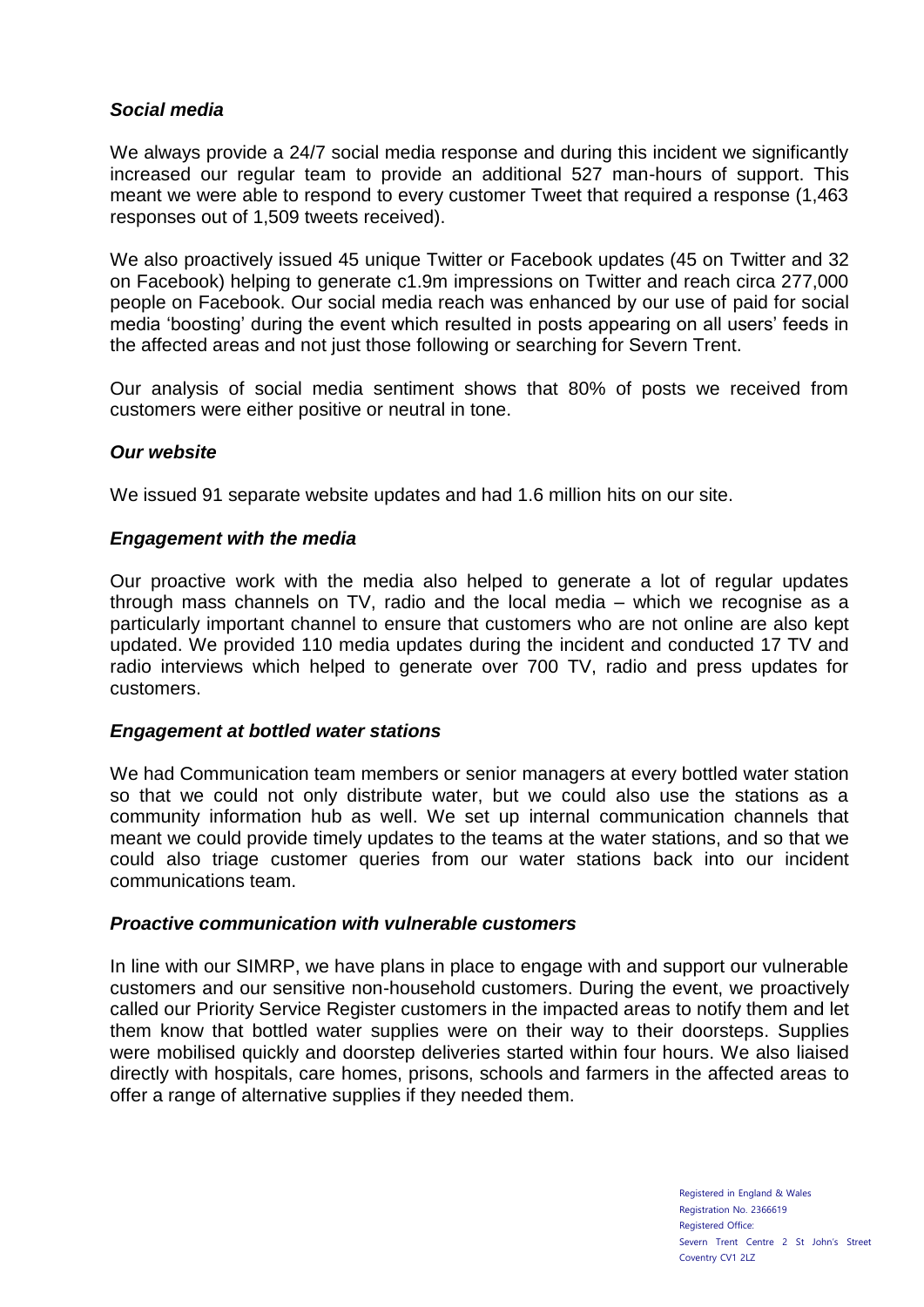# *Social media*

We always provide a 24/7 social media response and during this incident we significantly increased our regular team to provide an additional 527 man-hours of support. This meant we were able to respond to every customer Tweet that required a response (1,463 responses out of 1,509 tweets received).

We also proactively issued 45 unique Twitter or Facebook updates (45 on Twitter and 32 on Facebook) helping to generate c1.9m impressions on Twitter and reach circa 277,000 people on Facebook. Our social media reach was enhanced by our use of paid for social media 'boosting' during the event which resulted in posts appearing on all users' feeds in the affected areas and not just those following or searching for Severn Trent.

Our analysis of social media sentiment shows that 80% of posts we received from customers were either positive or neutral in tone.

### *Our website*

We issued 91 separate website updates and had 1.6 million hits on our site.

#### *Engagement with the media*

Our proactive work with the media also helped to generate a lot of regular updates through mass channels on TV, radio and the local media – which we recognise as a particularly important channel to ensure that customers who are not online are also kept updated. We provided 110 media updates during the incident and conducted 17 TV and radio interviews which helped to generate over 700 TV, radio and press updates for customers.

#### *Engagement at bottled water stations*

We had Communication team members or senior managers at every bottled water station so that we could not only distribute water, but we could also use the stations as a community information hub as well. We set up internal communication channels that meant we could provide timely updates to the teams at the water stations, and so that we could also triage customer queries from our water stations back into our incident communications team.

#### *Proactive communication with vulnerable customers*

In line with our SIMRP, we have plans in place to engage with and support our vulnerable customers and our sensitive non-household customers. During the event, we proactively called our Priority Service Register customers in the impacted areas to notify them and let them know that bottled water supplies were on their way to their doorsteps. Supplies were mobilised quickly and doorstep deliveries started within four hours. We also liaised directly with hospitals, care homes, prisons, schools and farmers in the affected areas to offer a range of alternative supplies if they needed them.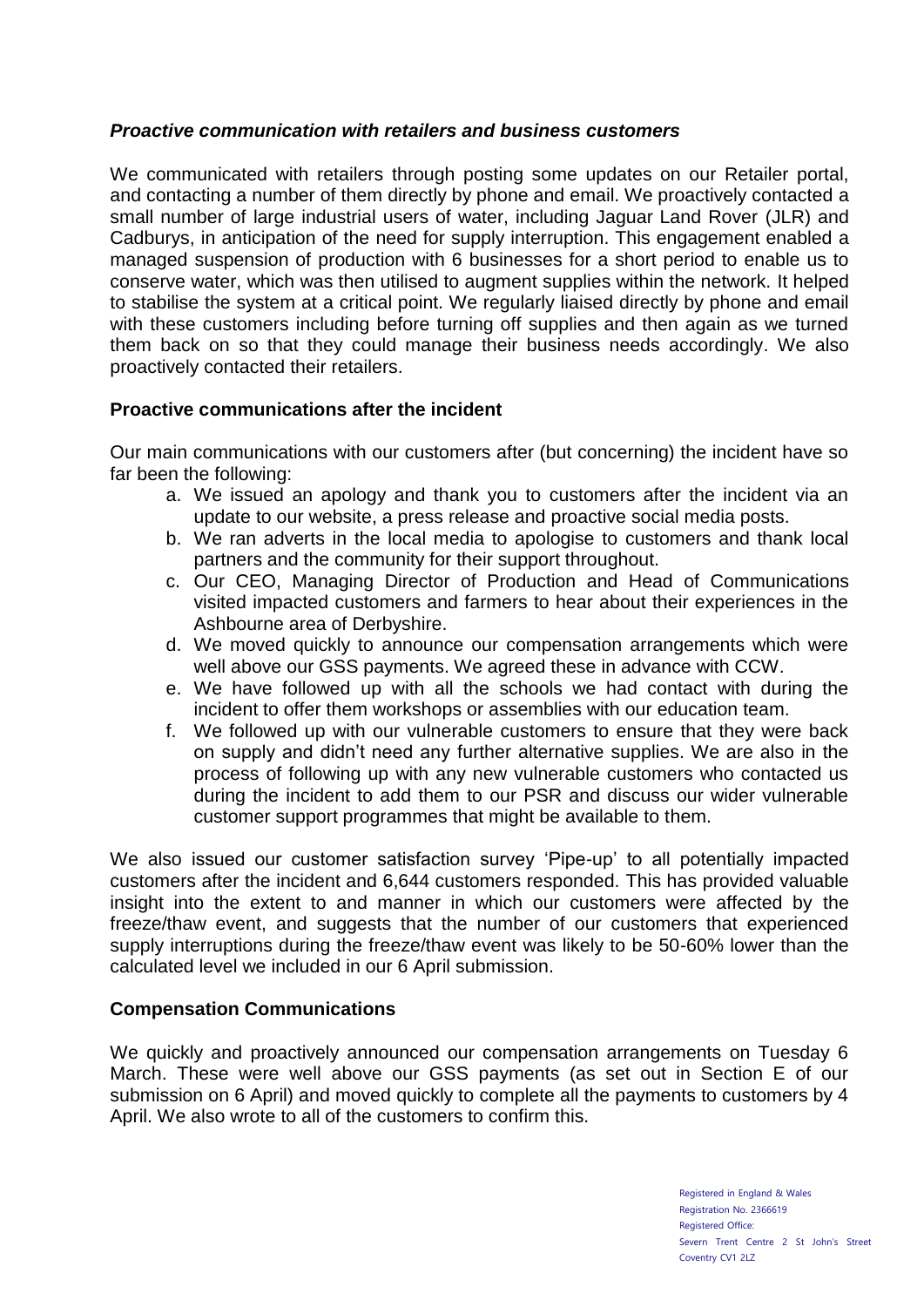# *Proactive communication with retailers and business customers*

We communicated with retailers through posting some updates on our Retailer portal, and contacting a number of them directly by phone and email. We proactively contacted a small number of large industrial users of water, including Jaguar Land Rover (JLR) and Cadburys, in anticipation of the need for supply interruption. This engagement enabled a managed suspension of production with 6 businesses for a short period to enable us to conserve water, which was then utilised to augment supplies within the network. It helped to stabilise the system at a critical point. We regularly liaised directly by phone and email with these customers including before turning off supplies and then again as we turned them back on so that they could manage their business needs accordingly. We also proactively contacted their retailers.

# **Proactive communications after the incident**

Our main communications with our customers after (but concerning) the incident have so far been the following:

- a. We issued an apology and thank you to customers after the incident via an update to our website, a press release and proactive social media posts.
- b. We ran adverts in the local media to apologise to customers and thank local partners and the community for their support throughout.
- c. Our CEO, Managing Director of Production and Head of Communications visited impacted customers and farmers to hear about their experiences in the Ashbourne area of Derbyshire.
- d. We moved quickly to announce our compensation arrangements which were well above our GSS payments. We agreed these in advance with CCW.
- e. We have followed up with all the schools we had contact with during the incident to offer them workshops or assemblies with our education team.
- f. We followed up with our vulnerable customers to ensure that they were back on supply and didn't need any further alternative supplies. We are also in the process of following up with any new vulnerable customers who contacted us during the incident to add them to our PSR and discuss our wider vulnerable customer support programmes that might be available to them.

We also issued our customer satisfaction survey 'Pipe-up' to all potentially impacted customers after the incident and 6,644 customers responded. This has provided valuable insight into the extent to and manner in which our customers were affected by the freeze/thaw event, and suggests that the number of our customers that experienced supply interruptions during the freeze/thaw event was likely to be 50-60% lower than the calculated level we included in our 6 April submission.

### **Compensation Communications**

We quickly and proactively announced our compensation arrangements on Tuesday 6 March. These were well above our GSS payments (as set out in Section E of our submission on 6 April) and moved quickly to complete all the payments to customers by 4 April. We also wrote to all of the customers to confirm this.